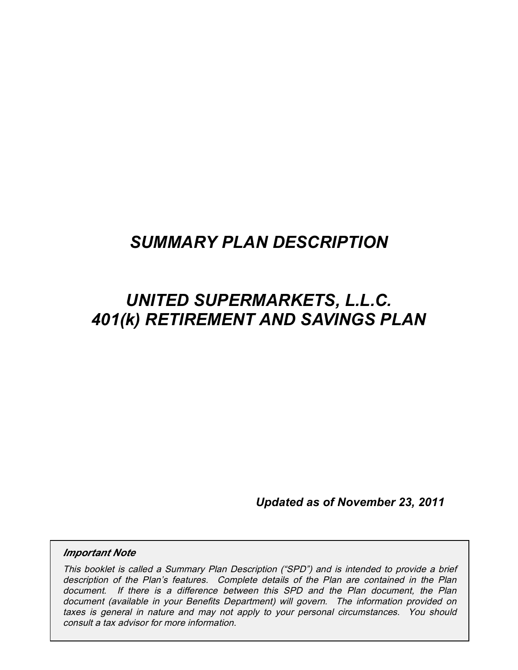# *SUMMARY PLAN DESCRIPTION*

# *UNITED SUPERMARKETS, L.L.C. 401(k) RETIREMENT AND SAVINGS PLAN*

*Updated as of November 23, 2011*

#### *Important Note*

This booklet is called a Summary Plan Description ("SPD") and is intended to provide a brief description of the Plan's features. Complete details of the Plan are contained in the Plan document. If there is a difference between this SPD and the Plan document, the Plan document (available in your Benefits Department) will govern. The information provided on taxes is general in nature and may not apply to your personal circumstances. You should consult a tax advisor for more information.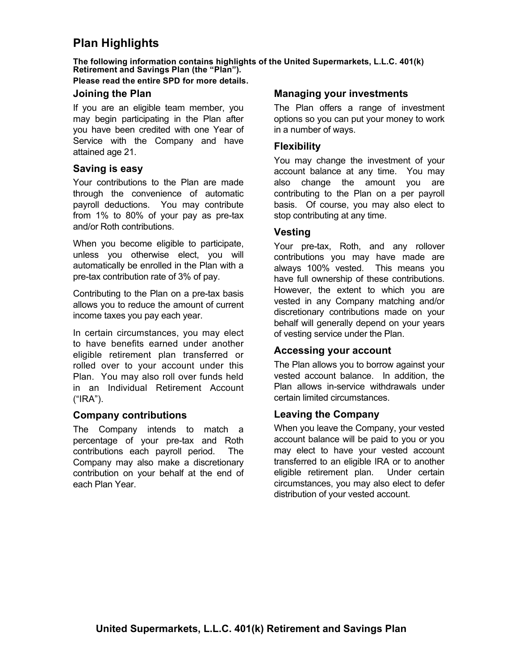## **Plan Highlights**

**The following information contains highlights of the United Supermarkets, L.L.C. 401(k) Retirement and Savings Plan (the "Plan").**

**Joining the Plan Please read the entire SPD for more details.**

If you are an eligible team member, you may begin participating in the Plan after you have been credited with one Year of Service with the Company and have attained age 21.

#### **Saving is easy**

Your contributions to the Plan are made through the convenience of automatic payroll deductions. You may contribute from 1% to 80% of your pay as pre-tax and/or Roth contributions.

When you become eligible to participate, unless you otherwise elect, you will automatically be enrolled in the Plan with a pre-tax contribution rate of 3% of pay.

Contributing to the Plan on a pre-tax basis allows you to reduce the amount of current income taxes you pay each year.

In certain circumstances, you may elect to have benefits earned under another eligible retirement plan transferred or rolled over to your account under this Plan. You may also roll over funds held in an Individual Retirement Account ("IRA").

#### **Company contributions**

The Company intends to match a percentage of your pre-tax and Roth contributions each payroll period. The Company may also make a discretionary contribution on your behalf at the end of each Plan Year.

#### **Managing your investments**

The Plan offers a range of investment options so you can put your money to work in a number of ways.

#### **Flexibility**

You may change the investment of your account balance at any time. You may also change the amount you are contributing to the Plan on a per payroll basis. Of course, you may also elect to stop contributing at any time.

#### **Vesting**

Your pre-tax, Roth, and any rollover contributions you may have made are always 100% vested. This means you have full ownership of these contributions. However, the extent to which you are vested in any Company matching and/or discretionary contributions made on your behalf will generally depend on your years of vesting service under the Plan.

#### **Accessing your account**

The Plan allows you to borrow against your vested account balance. In addition, the Plan allows in-service withdrawals under certain limited circumstances.

#### **Leaving the Company**

When you leave the Company, your vested account balance will be paid to you or you may elect to have your vested account transferred to an eligible IRA or to another eligible retirement plan. Under certain circumstances, you may also elect to defer distribution of your vested account.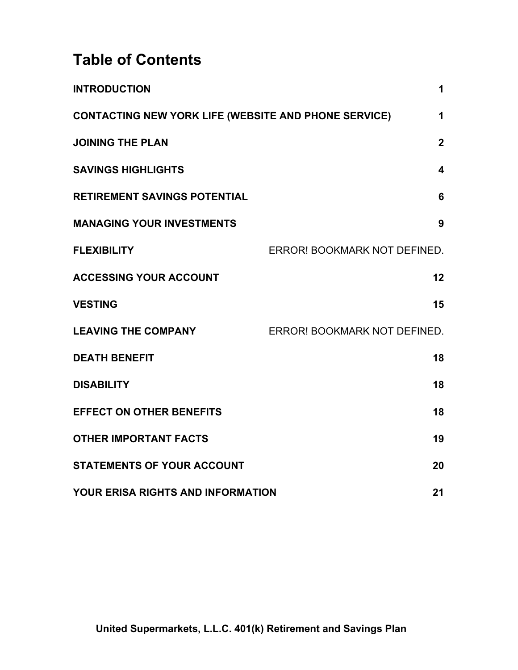# **Table of Contents**

| <b>INTRODUCTION</b>                                         | $\mathbf 1$                  |
|-------------------------------------------------------------|------------------------------|
| <b>CONTACTING NEW YORK LIFE (WEBSITE AND PHONE SERVICE)</b> | 1                            |
| <b>JOINING THE PLAN</b>                                     | $\overline{2}$               |
| <b>SAVINGS HIGHLIGHTS</b>                                   | $\overline{\mathbf{4}}$      |
| RETIREMENT SAVINGS POTENTIAL                                | 6                            |
| <b>MANAGING YOUR INVESTMENTS</b>                            | 9                            |
| <b>FLEXIBILITY</b>                                          | ERROR! BOOKMARK NOT DEFINED. |
| <b>ACCESSING YOUR ACCOUNT</b>                               | 12                           |
| <b>VESTING</b>                                              | 15                           |
| <b>LEAVING THE COMPANY</b>                                  | ERROR! BOOKMARK NOT DEFINED. |
| <b>DEATH BENEFIT</b>                                        | 18                           |
| <b>DISABILITY</b>                                           | 18                           |
| <b>EFFECT ON OTHER BENEFITS</b>                             | 18                           |
| <b>OTHER IMPORTANT FACTS</b>                                | 19                           |
| <b>STATEMENTS OF YOUR ACCOUNT</b>                           | 20                           |
| YOUR ERISA RIGHTS AND INFORMATION                           | 21                           |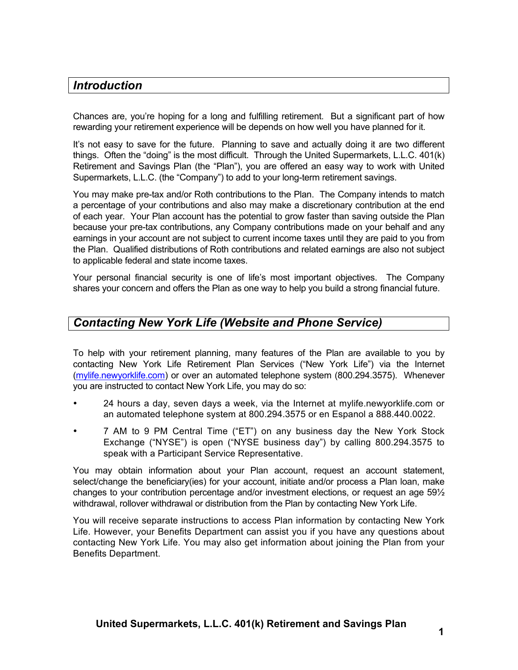## *Introduction*

Chances are, you're hoping for a long and fulfilling retirement. But a significant part of how rewarding your retirement experience will be depends on how well you have planned for it.

It's not easy to save for the future. Planning to save and actually doing it are two different things. Often the "doing" is the most difficult. Through the United Supermarkets, L.L.C. 401(k) Retirement and Savings Plan (the "Plan"), you are offered an easy way to work with United Supermarkets, L.L.C. (the "Company") to add to your long-term retirement savings.

You may make pre-tax and/or Roth contributions to the Plan. The Company intends to match a percentage of your contributions and also may make a discretionary contribution at the end of each year. Your Plan account has the potential to grow faster than saving outside the Plan because your pre-tax contributions, any Company contributions made on your behalf and any earnings in your account are not subject to current income taxes until they are paid to you from the Plan. Qualified distributions of Roth contributions and related earnings are also not subject to applicable federal and state income taxes.

Your personal financial security is one of life's most important objectives. The Company shares your concern and offers the Plan as one way to help you build a strong financial future.

## *Contacting New York Life (Website and Phone Service)*

To help with your retirement planning, many features of the Plan are available to you by contacting New York Life Retirement Plan Services ("New York Life") via the Internet (mylife.newyorklife.com) or over an automated telephone system (800.294.3575). Whenever you are instructed to contact New York Life, you may do so:

- 24 hours a day, seven days a week, via the Internet at mylife.newyorklife.com or an automated telephone system at 800.294.3575 or en Espanol a 888.440.0022.
- 7 AM to 9 PM Central Time ("ET") on any business day the New York Stock Exchange ("NYSE") is open ("NYSE business day") by calling 800.294.3575 to speak with a Participant Service Representative.

You may obtain information about your Plan account, request an account statement, select/change the beneficiary(ies) for your account, initiate and/or process a Plan loan, make changes to your contribution percentage and/or investment elections, or request an age 59½ withdrawal, rollover withdrawal or distribution from the Plan by contacting New York Life.

You will receive separate instructions to access Plan information by contacting New York Life. However, your Benefits Department can assist you if you have any questions about contacting New York Life. You may also get information about joining the Plan from your Benefits Department.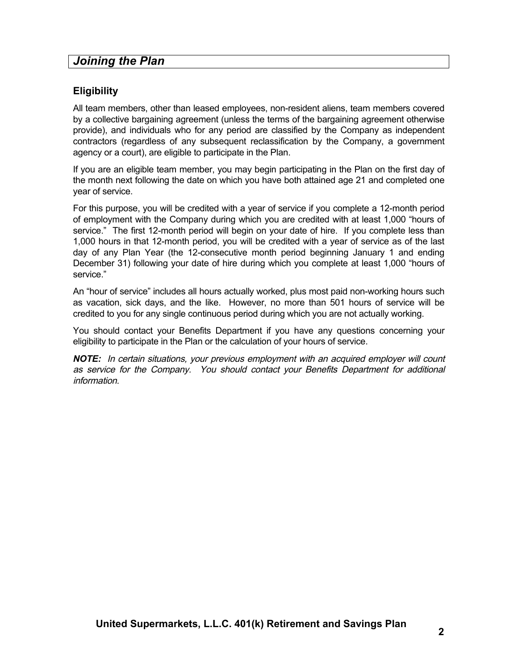### *Joining the Plan*

#### **Eligibility**

All team members, other than leased employees, non-resident aliens, team members covered by a collective bargaining agreement (unless the terms of the bargaining agreement otherwise provide), and individuals who for any period are classified by the Company as independent contractors (regardless of any subsequent reclassification by the Company, a government agency or a court), are eligible to participate in the Plan.

If you are an eligible team member, you may begin participating in the Plan on the first day of the month next following the date on which you have both attained age 21 and completed one year of service.

For this purpose, you will be credited with a year of service if you complete a 12-month period of employment with the Company during which you are credited with at least 1,000 "hours of service." The first 12-month period will begin on your date of hire. If you complete less than 1,000 hours in that 12-month period, you will be credited with a year of service as of the last day of any Plan Year (the 12-consecutive month period beginning January 1 and ending December 31) following your date of hire during which you complete at least 1,000 "hours of service."

An "hour of service" includes all hours actually worked, plus most paid non-working hours such as vacation, sick days, and the like. However, no more than 501 hours of service will be credited to you for any single continuous period during which you are not actually working.

You should contact your Benefits Department if you have any questions concerning your eligibility to participate in the Plan or the calculation of your hours of service.

*NOTE:* In certain situations, your previous employment with an acquired employer will count as service for the Company. You should contact your Benefits Department for additional information.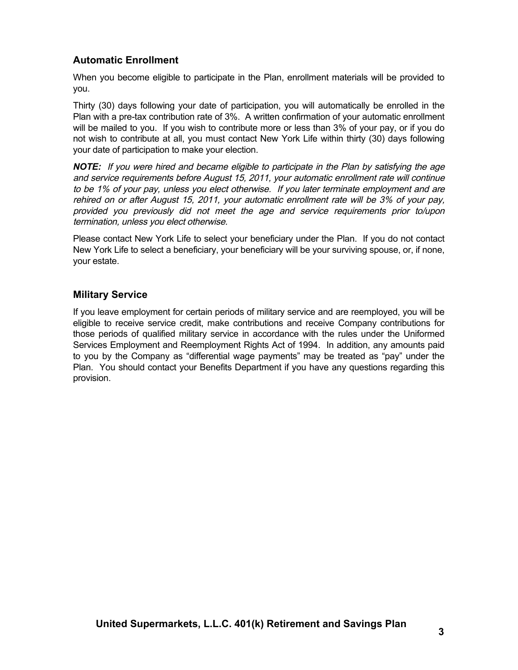#### **Automatic Enrollment**

When you become eligible to participate in the Plan, enrollment materials will be provided to you.

Thirty (30) days following your date of participation, you will automatically be enrolled in the Plan with a pre-tax contribution rate of 3%. A written confirmation of your automatic enrollment will be mailed to you. If you wish to contribute more or less than 3% of your pay, or if you do not wish to contribute at all, you must contact New York Life within thirty (30) days following your date of participation to make your election.

*NOTE:* If you were hired and became eligible to participate in the Plan by satisfying the age and service requirements before August 15, 2011, your automatic enrollment rate will continue to be 1% of your pay, unless you elect otherwise. If you later terminate employment and are rehired on or after August 15, 2011, your automatic enrollment rate will be 3% of your pay, provided you previously did not meet the age and service requirements prior to/upon termination, unless you elect otherwise.

Please contact New York Life to select your beneficiary under the Plan. If you do not contact New York Life to select a beneficiary, your beneficiary will be your surviving spouse, or, if none, your estate.

#### **Military Service**

If you leave employment for certain periods of military service and are reemployed, you will be eligible to receive service credit, make contributions and receive Company contributions for those periods of qualified military service in accordance with the rules under the Uniformed Services Employment and Reemployment Rights Act of 1994. In addition, any amounts paid to you by the Company as "differential wage payments" may be treated as "pay" under the Plan. You should contact your Benefits Department if you have any questions regarding this provision.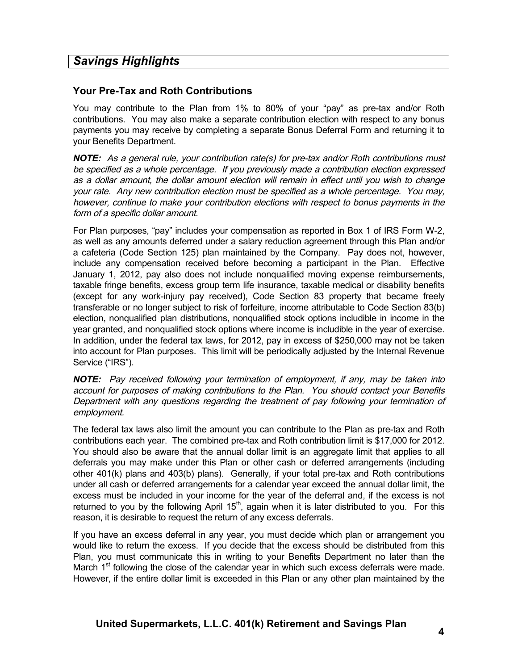#### **Your Pre-Tax and Roth Contributions**

You may contribute to the Plan from 1% to 80% of your "pay" as pre-tax and/or Roth contributions. You may also make a separate contribution election with respect to any bonus payments you may receive by completing a separate Bonus Deferral Form and returning it to your Benefits Department.

*NOTE:* As a general rule, your contribution rate(s) for pre-tax and/or Roth contributions must be specified as a whole percentage. If you previously made a contribution election expressed as a dollar amount, the dollar amount election will remain in effect until you wish to change your rate. Any new contribution election must be specified as a whole percentage. You may, however, continue to make your contribution elections with respect to bonus payments in the form of a specific dollar amount.

For Plan purposes, "pay" includes your compensation as reported in Box 1 of IRS Form W-2, as well as any amounts deferred under a salary reduction agreement through this Plan and/or a cafeteria (Code Section 125) plan maintained by the Company. Pay does not, however, include any compensation received before becoming a participant in the Plan. Effective January 1, 2012, pay also does not include nonqualified moving expense reimbursements, taxable fringe benefits, excess group term life insurance, taxable medical or disability benefits (except for any work-injury pay received), Code Section 83 property that became freely transferable or no longer subject to risk of forfeiture, income attributable to Code Section 83(b) election, nonqualified plan distributions, nonqualified stock options includible in income in the year granted, and nonqualified stock options where income is includible in the year of exercise. In addition, under the federal tax laws, for 2012, pay in excess of \$250,000 may not be taken into account for Plan purposes. This limit will be periodically adjusted by the Internal Revenue Service ("IRS").

*NOTE:* Pay received following your termination of employment, if any, may be taken into account for purposes of making contributions to the Plan. You should contact your Benefits Department with any questions regarding the treatment of pay following your termination of employment.

The federal tax laws also limit the amount you can contribute to the Plan as pre-tax and Roth contributions each year. The combined pre-tax and Roth contribution limit is \$17,000 for 2012. You should also be aware that the annual dollar limit is an aggregate limit that applies to all deferrals you may make under this Plan or other cash or deferred arrangements (including other 401(k) plans and 403(b) plans). Generally, if your total pre-tax and Roth contributions under all cash or deferred arrangements for a calendar year exceed the annual dollar limit, the excess must be included in your income for the year of the deferral and, if the excess is not returned to you by the following April  $15<sup>th</sup>$ , again when it is later distributed to you. For this reason, it is desirable to request the return of any excess deferrals.

If you have an excess deferral in any year, you must decide which plan or arrangement you would like to return the excess. If you decide that the excess should be distributed from this Plan, you must communicate this in writing to your Benefits Department no later than the March  $1<sup>st</sup>$  following the close of the calendar year in which such excess deferrals were made. However, if the entire dollar limit is exceeded in this Plan or any other plan maintained by the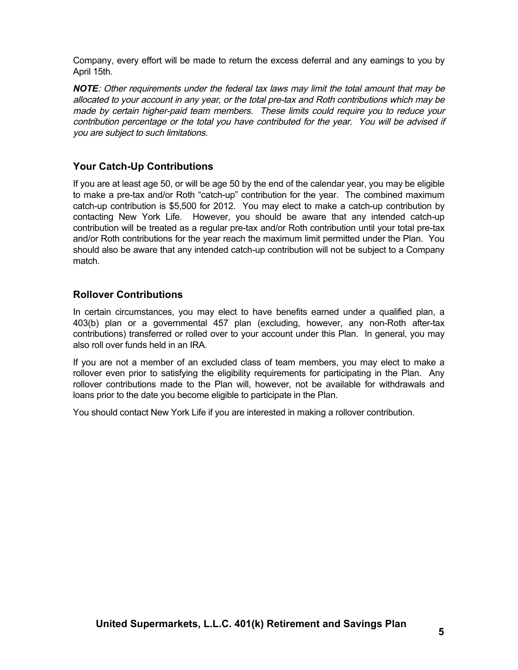Company, every effort will be made to return the excess deferral and any earnings to you by April 15th.

*NOTE*: Other requirements under the federal tax laws may limit the total amount that may be allocated to your account in any year, or the total pre-tax and Roth contributions which may be made by certain higher-paid team members. These limits could require you to reduce your contribution percentage or the total you have contributed for the year. You will be advised if you are subject to such limitations.

#### **Your Catch-Up Contributions**

If you are at least age 50, or will be age 50 by the end of the calendar year, you may be eligible to make a pre-tax and/or Roth "catch-up" contribution for the year. The combined maximum catch-up contribution is \$5,500 for 2012. You may elect to make a catch-up contribution by contacting New York Life. However, you should be aware that any intended catch-up contribution will be treated as a regular pre-tax and/or Roth contribution until your total pre-tax and/or Roth contributions for the year reach the maximum limit permitted under the Plan. You should also be aware that any intended catch-up contribution will not be subject to a Company match.

#### **Rollover Contributions**

In certain circumstances, you may elect to have benefits earned under a qualified plan, a 403(b) plan or a governmental 457 plan (excluding, however, any non-Roth after-tax contributions) transferred or rolled over to your account under this Plan. In general, you may also roll over funds held in an IRA.

If you are not a member of an excluded class of team members, you may elect to make a rollover even prior to satisfying the eligibility requirements for participating in the Plan. Any rollover contributions made to the Plan will, however, not be available for withdrawals and loans prior to the date you become eligible to participate in the Plan.

You should contact New York Life if you are interested in making a rollover contribution.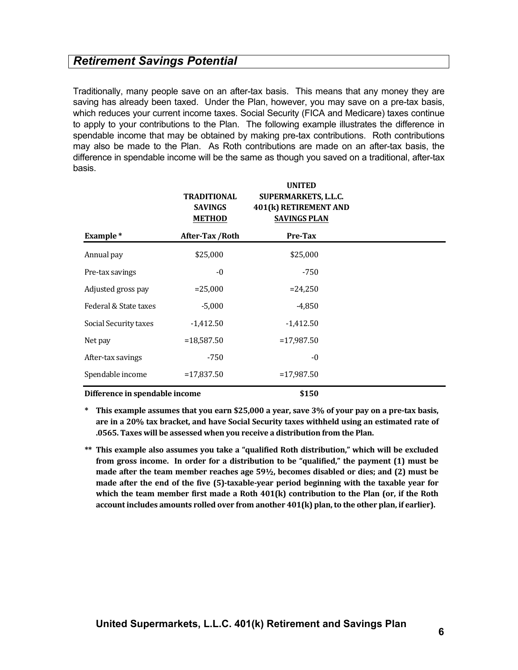## *Retirement Savings Potential*

Traditionally, many people save on an after-tax basis. This means that any money they are saving has already been taxed. Under the Plan, however, you may save on a pre-tax basis, which reduces your current income taxes. Social Security (FICA and Medicare) taxes continue to apply to your contributions to the Plan. The following example illustrates the difference in spendable income that may be obtained by making pre-tax contributions. Roth contributions may also be made to the Plan. As Roth contributions are made on an after-tax basis, the difference in spendable income will be the same as though you saved on a traditional, after-tax basis.

|                                | <b>TRADITIONAL</b><br><b>SAVINGS</b><br><b>METHOD</b> | <b>UNITED</b><br>SUPERMARKETS, L.L.C.<br>401(k) RETIREMENT AND<br><b>SAVINGS PLAN</b> |  |
|--------------------------------|-------------------------------------------------------|---------------------------------------------------------------------------------------|--|
| Example *                      | After-Tax / Roth                                      | <b>Pre-Tax</b>                                                                        |  |
| Annual pay                     | \$25,000                                              | \$25,000                                                                              |  |
| Pre-tax savings                | $-0$                                                  | -750                                                                                  |  |
| Adjusted gross pay             | $= 25,000$                                            | $= 24,250$                                                                            |  |
| Federal & State taxes          | $-5,000$                                              | -4,850                                                                                |  |
| Social Security taxes          | $-1,412.50$                                           | $-1,412.50$                                                                           |  |
| Net pay                        | $=18,587.50$                                          | $=17,987.50$                                                                          |  |
| After-tax savings              | $-750$                                                | -0                                                                                    |  |
| Spendable income               | $=17,837.50$                                          | $=17,987.50$                                                                          |  |
| Difference in spendable income |                                                       | \$150                                                                                 |  |

**\*** This example assumes that you earn \$25,000 a year, save 3% of your pay on a pre-tax basis, are in a 20% tax bracket, and have Social Security taxes withheld using an estimated rate of **.0565. Taxes will be assessed when you receive a distribution from the Plan.**

\*\* This example also assumes you take a "qualified Roth distribution," which will be excluded from gross income. In order for a distribution to be "qualified," the payment (1) must be made after the team member reaches age 59<sup>1</sup>/<sub>2</sub>, becomes disabled or dies; and (2) must be made after the end of the five (5)-taxable-year period beginning with the taxable year for which the team member first made a Roth 401(k) contribution to the Plan (or, if the Roth account includes amounts rolled over from another 401(k) plan, to the other plan, if earlier).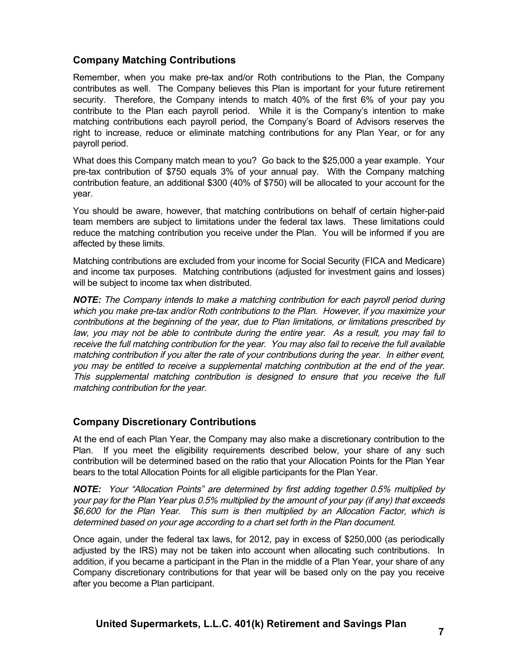#### **Company Matching Contributions**

Remember, when you make pre-tax and/or Roth contributions to the Plan, the Company contributes as well. The Company believes this Plan is important for your future retirement security. Therefore, the Company intends to match 40% of the first 6% of your pay you contribute to the Plan each payroll period. While it is the Company's intention to make matching contributions each payroll period, the Company's Board of Advisors reserves the right to increase, reduce or eliminate matching contributions for any Plan Year, or for any payroll period.

What does this Company match mean to you? Go back to the \$25,000 a year example. Your pre-tax contribution of \$750 equals 3% of your annual pay. With the Company matching contribution feature, an additional \$300 (40% of \$750) will be allocated to your account for the year.

You should be aware, however, that matching contributions on behalf of certain higher-paid team members are subject to limitations under the federal tax laws. These limitations could reduce the matching contribution you receive under the Plan. You will be informed if you are affected by these limits.

Matching contributions are excluded from your income for Social Security (FICA and Medicare) and income tax purposes. Matching contributions (adjusted for investment gains and losses) will be subject to income tax when distributed.

*NOTE:* The Company intends to make a matching contribution for each payroll period during which you make pre-tax and/or Roth contributions to the Plan. However, if you maximize your contributions at the beginning of the year, due to Plan limitations, or limitations prescribed by law, you may not be able to contribute during the entire year. As a result, you may fail to receive the full matching contribution for the year. You may also fail to receive the full available matching contribution if you alter the rate of your contributions during the year. In either event, you may be entitled to receive a supplemental matching contribution at the end of the year. This supplemental matching contribution is designed to ensure that you receive the full matching contribution for the year.

#### **Company Discretionary Contributions**

At the end of each Plan Year, the Company may also make a discretionary contribution to the Plan. If you meet the eligibility requirements described below, your share of any such contribution will be determined based on the ratio that your Allocation Points for the Plan Year bears to the total Allocation Points for all eligible participants for the Plan Year.

*NOTE:* Your "Allocation Points" are determined by first adding together 0.5% multiplied by your pay for the Plan Year plus 0.5% multiplied by the amount of your pay (if any) that exceeds \$6,600 for the Plan Year. This sum is then multiplied by an Allocation Factor, which is determined based on your age according to a chart set forth in the Plan document.

Once again, under the federal tax laws, for 2012, pay in excess of \$250,000 (as periodically adjusted by the IRS) may not be taken into account when allocating such contributions. In addition, if you became a participant in the Plan in the middle of a Plan Year, your share of any Company discretionary contributions for that year will be based only on the pay you receive after you become a Plan participant.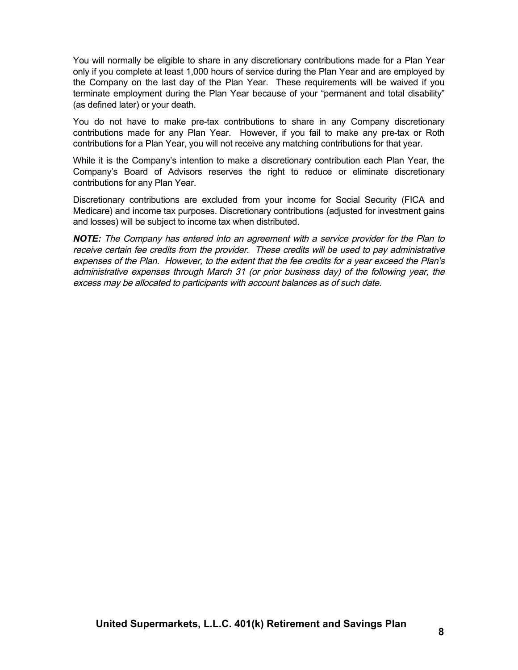You will normally be eligible to share in any discretionary contributions made for a Plan Year only if you complete at least 1,000 hours of service during the Plan Year and are employed by the Company on the last day of the Plan Year. These requirements will be waived if you terminate employment during the Plan Year because of your "permanent and total disability" (as defined later) or your death.

You do not have to make pre-tax contributions to share in any Company discretionary contributions made for any Plan Year. However, if you fail to make any pre-tax or Roth contributions for a Plan Year, you will not receive any matching contributions for that year.

While it is the Company's intention to make a discretionary contribution each Plan Year, the Company's Board of Advisors reserves the right to reduce or eliminate discretionary contributions for any Plan Year.

Discretionary contributions are excluded from your income for Social Security (FICA and Medicare) and income tax purposes. Discretionary contributions (adjusted for investment gains and losses) will be subject to income tax when distributed.

*NOTE:* The Company has entered into an agreement with a service provider for the Plan to receive certain fee credits from the provider. These credits will be used to pay administrative expenses of the Plan. However, to the extent that the fee credits for a year exceed the Plan's administrative expenses through March 31 (or prior business day) of the following year, the excess may be allocated to participants with account balances as of such date.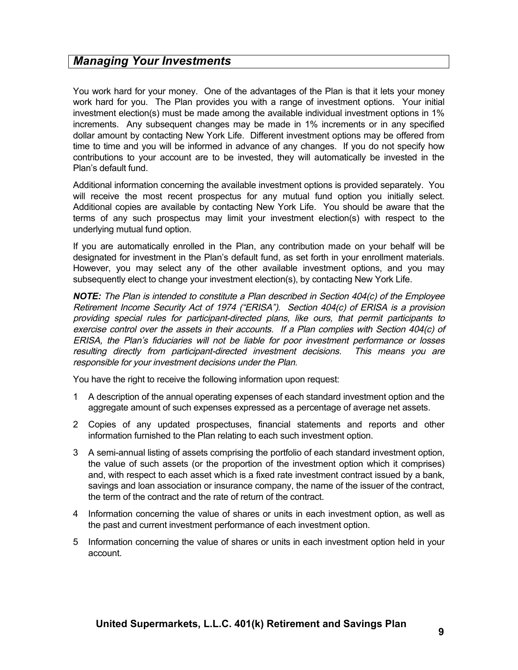## *Managing Your Investments*

You work hard for your money. One of the advantages of the Plan is that it lets your money work hard for you. The Plan provides you with a range of investment options. Your initial investment election(s) must be made among the available individual investment options in 1% increments. Any subsequent changes may be made in 1% increments or in any specified dollar amount by contacting New York Life. Different investment options may be offered from time to time and you will be informed in advance of any changes. If you do not specify how contributions to your account are to be invested, they will automatically be invested in the Plan's default fund.

Additional information concerning the available investment options is provided separately. You will receive the most recent prospectus for any mutual fund option you initially select. Additional copies are available by contacting New York Life. You should be aware that the terms of any such prospectus may limit your investment election(s) with respect to the underlying mutual fund option.

If you are automatically enrolled in the Plan, any contribution made on your behalf will be designated for investment in the Plan's default fund, as set forth in your enrollment materials. However, you may select any of the other available investment options, and you may subsequently elect to change your investment election(s), by contacting New York Life.

*NOTE:* The Plan is intended to constitute a Plan described in Section 404(c) of the Employee Retirement Income Security Act of 1974 ("ERISA"). Section 404(c) of ERISA is a provision providing special rules for participant-directed plans, like ours, that permit participants to exercise control over the assets in their accounts. If a Plan complies with Section 404(c) of ERISA, the Plan's fiduciaries will not be liable for poor investment performance or losses resulting directly from participant-directed investment decisions. This means you are responsible for your investment decisions under the Plan.

You have the right to receive the following information upon request:

- 1 A description of the annual operating expenses of each standard investment option and the aggregate amount of such expenses expressed as a percentage of average net assets.
- 2 Copies of any updated prospectuses, financial statements and reports and other information furnished to the Plan relating to each such investment option.
- 3 A semi-annual listing of assets comprising the portfolio of each standard investment option, the value of such assets (or the proportion of the investment option which it comprises) and, with respect to each asset which is a fixed rate investment contract issued by a bank, savings and loan association or insurance company, the name of the issuer of the contract, the term of the contract and the rate of return of the contract.
- 4 Information concerning the value of shares or units in each investment option, as well as the past and current investment performance of each investment option.
- 5 Information concerning the value of shares or units in each investment option held in your account.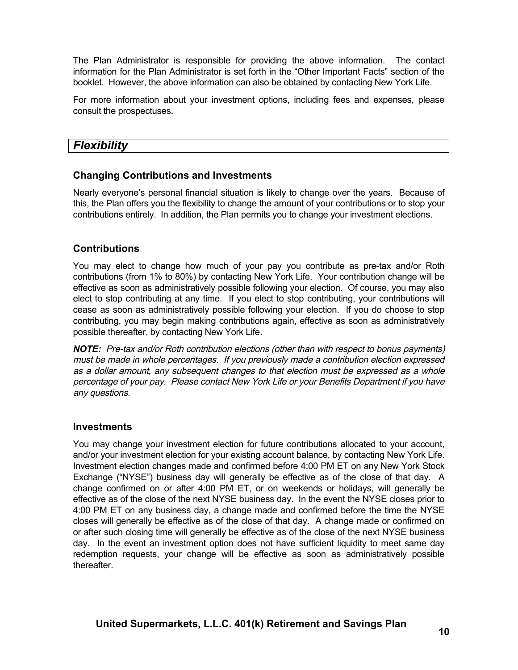The Plan Administrator is responsible for providing the above information. The contact information for the Plan Administrator is set forth in the "Other Important Facts" section of the booklet. However, the above information can also be obtained by contacting New York Life.

For more information about your investment options, including fees and expenses, please consult the prospectuses.

## *Flexibility*

#### **Changing Contributions and Investments**

Nearly everyone's personal financial situation is likely to change over the years. Because of this, the Plan offers you the flexibility to change the amount of your contributions or to stop your contributions entirely. In addition, the Plan permits you to change your investment elections.

#### **Contributions**

You may elect to change how much of your pay you contribute as pre-tax and/or Roth contributions (from 1% to 80%) by contacting New York Life. Your contribution change will be effective as soon as administratively possible following your election. Of course, you may also elect to stop contributing at any time. If you elect to stop contributing, your contributions will cease as soon as administratively possible following your election. If you do choose to stop contributing, you may begin making contributions again, effective as soon as administratively possible thereafter, by contacting New York Life.

*NOTE:* Pre-tax and/or Roth contribution elections (other than with respect to bonus payments) must be made in whole percentages. If you previously made a contribution election expressed as a dollar amount, any subsequent changes to that election must be expressed as a whole percentage of your pay. Please contact New York Life or your Benefits Department if you have any questions.

#### **Investments**

You may change your investment election for future contributions allocated to your account, and/or your investment election for your existing account balance, by contacting New York Life. Investment election changes made and confirmed before 4:00 PM ET on any New York Stock Exchange ("NYSE") business day will generally be effective as of the close of that day. A change confirmed on or after 4:00 PM ET, or on weekends or holidays, will generally be effective as of the close of the next NYSE business day. In the event the NYSE closes prior to 4:00 PM ET on any business day, a change made and confirmed before the time the NYSE closes will generally be effective as of the close of that day. A change made or confirmed on or after such closing time will generally be effective as of the close of the next NYSE business day. In the event an investment option does not have sufficient liquidity to meet same day redemption requests, your change will be effective as soon as administratively possible thereafter.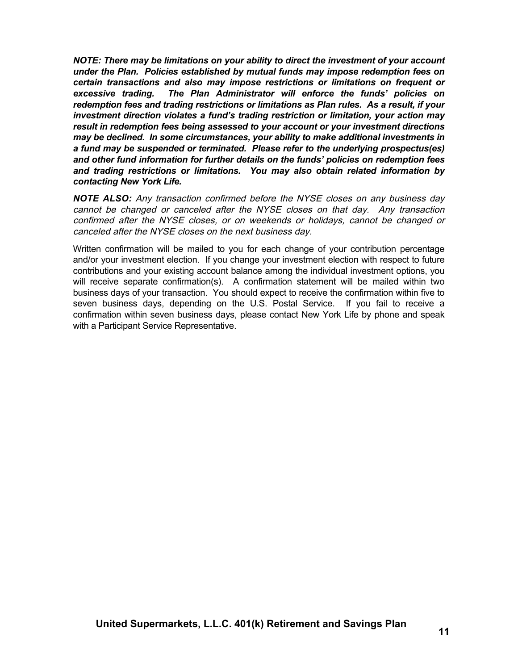*NOTE: There may be limitations on your ability to direct the investment of your account under the Plan. Policies established by mutual funds may impose redemption fees on certain transactions and also may impose restrictions or limitations on frequent or excessive trading. The Plan Administrator will enforce the funds' policies on redemption fees and trading restrictions or limitations as Plan rules. As a result, if your investment direction violates a fund's trading restriction or limitation, your action may result in redemption fees being assessed to your account or your investment directions may be declined. In some circumstances, your ability to make additional investments in a fund may be suspended or terminated. Please refer to the underlying prospectus(es) and other fund information for further details on the funds' policies on redemption fees and trading restrictions or limitations. You may also obtain related information by contacting New York Life.*

*NOTE ALSO:* Any transaction confirmed before the NYSE closes on any business day cannot be changed or canceled after the NYSE closes on that day. Any transaction confirmed after the NYSE closes, or on weekends or holidays, cannot be changed or canceled after the NYSE closes on the next business day.

Written confirmation will be mailed to you for each change of your contribution percentage and/or your investment election. If you change your investment election with respect to future contributions and your existing account balance among the individual investment options, you will receive separate confirmation(s). A confirmation statement will be mailed within two business days of your transaction. You should expect to receive the confirmation within five to seven business days, depending on the U.S. Postal Service. If you fail to receive a confirmation within seven business days, please contact New York Life by phone and speak with a Participant Service Representative.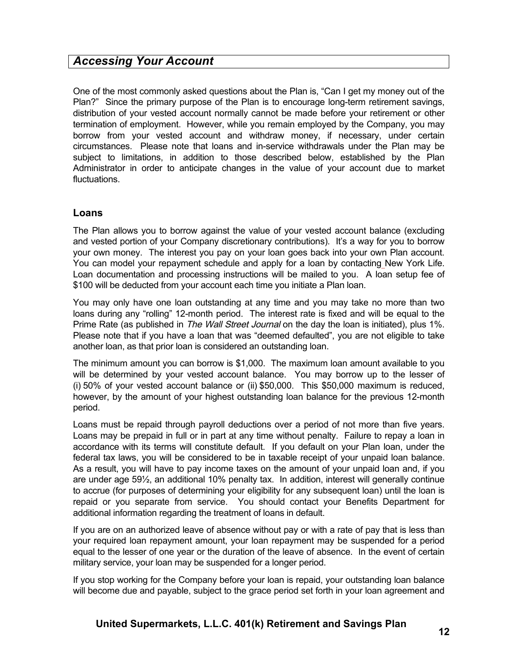## *Accessing Your Account*

One of the most commonly asked questions about the Plan is, "Can I get my money out of the Plan?" Since the primary purpose of the Plan is to encourage long-term retirement savings, distribution of your vested account normally cannot be made before your retirement or other termination of employment. However, while you remain employed by the Company, you may borrow from your vested account and withdraw money, if necessary, under certain circumstances. Please note that loans and in-service withdrawals under the Plan may be subject to limitations, in addition to those described below, established by the Plan Administrator in order to anticipate changes in the value of your account due to market fluctuations.

#### **Loans**

The Plan allows you to borrow against the value of your vested account balance (excluding and vested portion of your Company discretionary contributions). It's a way for you to borrow your own money. The interest you pay on your loan goes back into your own Plan account. You can model your repayment schedule and apply for a loan by contacting New York Life. Loan documentation and processing instructions will be mailed to you. A loan setup fee of \$100 will be deducted from your account each time you initiate a Plan loan.

You may only have one loan outstanding at any time and you may take no more than two loans during any "rolling" 12-month period. The interest rate is fixed and will be equal to the Prime Rate (as published in The Wall Street Journal on the day the loan is initiated), plus 1%. Please note that if you have a loan that was "deemed defaulted", you are not eligible to take another loan, as that prior loan is considered an outstanding loan.

The minimum amount you can borrow is \$1,000. The maximum loan amount available to you will be determined by your vested account balance. You may borrow up to the lesser of (i) 50% of your vested account balance or (ii) \$50,000. This \$50,000 maximum is reduced, however, by the amount of your highest outstanding loan balance for the previous 12-month period.

Loans must be repaid through payroll deductions over a period of not more than five years. Loans may be prepaid in full or in part at any time without penalty. Failure to repay a loan in accordance with its terms will constitute default. If you default on your Plan loan, under the federal tax laws, you will be considered to be in taxable receipt of your unpaid loan balance. As a result, you will have to pay income taxes on the amount of your unpaid loan and, if you are under age 59½, an additional 10% penalty tax. In addition, interest will generally continue to accrue (for purposes of determining your eligibility for any subsequent loan) until the loan is repaid or you separate from service. You should contact your Benefits Department for additional information regarding the treatment of loans in default.

If you are on an authorized leave of absence without pay or with a rate of pay that is less than your required loan repayment amount, your loan repayment may be suspended for a period equal to the lesser of one year or the duration of the leave of absence. In the event of certain military service, your loan may be suspended for a longer period.

If you stop working for the Company before your loan is repaid, your outstanding loan balance will become due and payable, subject to the grace period set forth in your loan agreement and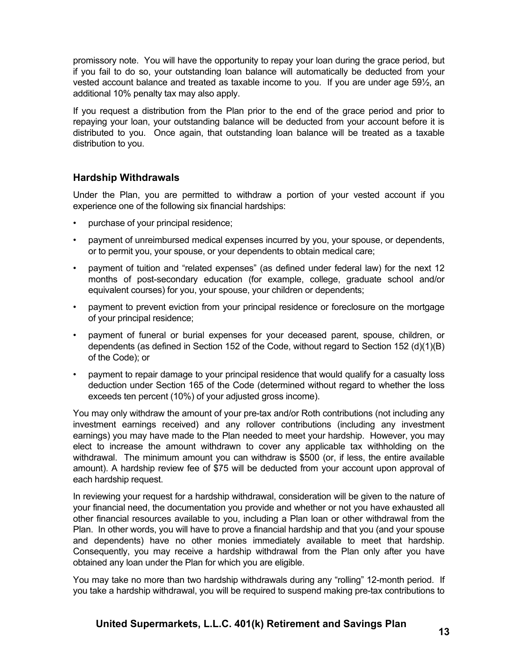promissory note. You will have the opportunity to repay your loan during the grace period, but if you fail to do so, your outstanding loan balance will automatically be deducted from your vested account balance and treated as taxable income to you. If you are under age 59½, an additional 10% penalty tax may also apply.

If you request a distribution from the Plan prior to the end of the grace period and prior to repaying your loan, your outstanding balance will be deducted from your account before it is distributed to you. Once again, that outstanding loan balance will be treated as a taxable distribution to you.

#### **Hardship Withdrawals**

Under the Plan, you are permitted to withdraw a portion of your vested account if you experience one of the following six financial hardships:

- purchase of your principal residence;
- payment of unreimbursed medical expenses incurred by you, your spouse, or dependents, or to permit you, your spouse, or your dependents to obtain medical care;
- payment of tuition and "related expenses" (as defined under federal law) for the next 12 months of post-secondary education (for example, college, graduate school and/or equivalent courses) for you, your spouse, your children or dependents;
- payment to prevent eviction from your principal residence or foreclosure on the mortgage of your principal residence;
- payment of funeral or burial expenses for your deceased parent, spouse, children, or dependents (as defined in Section 152 of the Code, without regard to Section 152 (d)(1)(B) of the Code); or
- payment to repair damage to your principal residence that would qualify for a casualty loss deduction under Section 165 of the Code (determined without regard to whether the loss exceeds ten percent (10%) of your adjusted gross income).

You may only withdraw the amount of your pre-tax and/or Roth contributions (not including any investment earnings received) and any rollover contributions (including any investment earnings) you may have made to the Plan needed to meet your hardship. However, you may elect to increase the amount withdrawn to cover any applicable tax withholding on the withdrawal. The minimum amount you can withdraw is \$500 (or, if less, the entire available amount). A hardship review fee of \$75 will be deducted from your account upon approval of each hardship request.

In reviewing your request for a hardship withdrawal, consideration will be given to the nature of your financial need, the documentation you provide and whether or not you have exhausted all other financial resources available to you, including a Plan loan or other withdrawal from the Plan. In other words, you will have to prove a financial hardship and that you (and your spouse and dependents) have no other monies immediately available to meet that hardship. Consequently, you may receive a hardship withdrawal from the Plan only after you have obtained any loan under the Plan for which you are eligible.

You may take no more than two hardship withdrawals during any "rolling" 12-month period. If you take a hardship withdrawal, you will be required to suspend making pre-tax contributions to

## **United Supermarkets, L.L.C. 401(k) Retirement and Savings Plan <sup>13</sup>**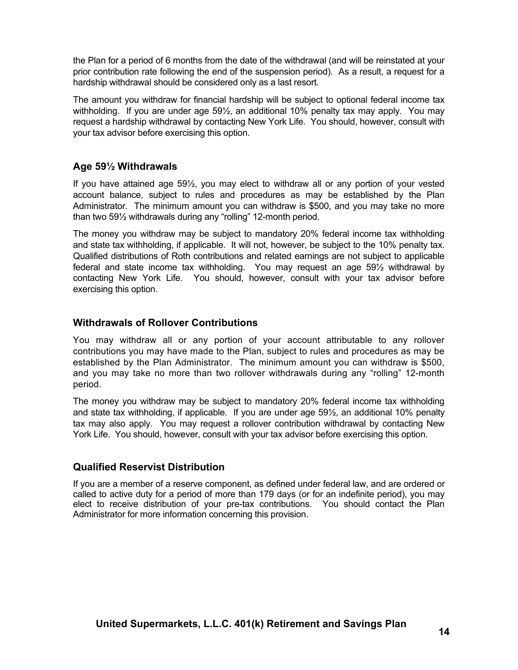the Plan for a period of 6 months from the date of the withdrawal (and will be reinstated at your prior contribution rate following the end of the suspension period). As a result, a request for a hardship withdrawal should be considered only as a last resort.

The amount you withdraw for financial hardship will be subject to optional federal income tax withholding. If you are under age 59½, an additional 10% penalty tax may apply. You may request a hardship withdrawal by contacting New York Life. You should, however, consult with your tax advisor before exercising this option.

#### **Age 59½ Withdrawals**

If you have attained age 59½, you may elect to withdraw all or any portion of your vested account balance, subject to rules and procedures as may be established by the Plan Administrator. The minimum amount you can withdraw is \$500, and you may take no more than two 59½ withdrawals during any "rolling" 12-month period.

The money you withdraw may be subject to mandatory 20% federal income tax withholding and state tax withholding, if applicable. It will not, however, be subject to the 10% penalty tax. Qualified distributions of Roth contributions and related earnings are not subject to applicable federal and state income tax withholding. You may request an age 59½ withdrawal by contacting New York Life. You should, however, consult with your tax advisor before exercising this option.

#### **Withdrawals of Rollover Contributions**

You may withdraw all or any portion of your account attributable to any rollover contributions you may have made to the Plan, subject to rules and procedures as may be established by the Plan Administrator. The minimum amount you can withdraw is \$500, and you may take no more than two rollover withdrawals during any "rolling" 12-month period.

The money you withdraw may be subject to mandatory 20% federal income tax withholding and state tax withholding, if applicable. If you are under age 59½, an additional 10% penalty tax may also apply. You may request a rollover contribution withdrawal by contacting New York Life. You should, however, consult with your tax advisor before exercising this option.

#### **Qualified Reservist Distribution**

If you are a member of a reserve component, as defined under federal law, and are ordered or called to active duty for a period of more than 179 days (or for an indefinite period), you may elect to receive distribution of your pre-tax contributions. You should contact the Plan Administrator for more information concerning this provision.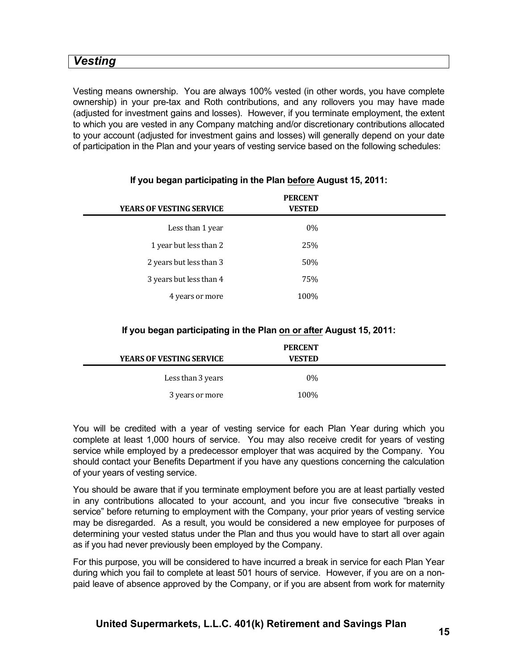Vesting means ownership. You are always 100% vested (in other words, you have complete ownership) in your pre-tax and Roth contributions, and any rollovers you may have made (adjusted for investment gains and losses). However, if you terminate employment, the extent to which you are vested in any Company matching and/or discretionary contributions allocated to your account (adjusted for investment gains and losses) will generally depend on your date of participation in the Plan and your years of vesting service based on the following schedules:

| <b>YEARS OF VESTING SERVICE</b><br><b>VESTED</b><br>$0\%$<br>Less than 1 year<br>1 year but less than 2<br>25%<br>2 years but less than 3<br>50%<br>3 years but less than 4<br>75%<br>100%<br>4 years or more | <b>PERCENT</b> |  |  |
|---------------------------------------------------------------------------------------------------------------------------------------------------------------------------------------------------------------|----------------|--|--|
|                                                                                                                                                                                                               |                |  |  |
|                                                                                                                                                                                                               |                |  |  |
|                                                                                                                                                                                                               |                |  |  |
|                                                                                                                                                                                                               |                |  |  |
|                                                                                                                                                                                                               |                |  |  |
|                                                                                                                                                                                                               |                |  |  |

#### **If you began participating in the Plan before August 15, 2011:**

#### **If you began participating in the Plan on or after August 15, 2011:**

| <b>PERCENT</b><br><b>VESTED</b> | <b>YEARS OF VESTING SERVICE</b> |
|---------------------------------|---------------------------------|
| $0\%$                           | Less than 3 years               |
| 100%                            | 3 years or more                 |

You will be credited with a year of vesting service for each Plan Year during which you complete at least 1,000 hours of service. You may also receive credit for years of vesting service while employed by a predecessor employer that was acquired by the Company. You should contact your Benefits Department if you have any questions concerning the calculation of your years of vesting service.

You should be aware that if you terminate employment before you are at least partially vested in any contributions allocated to your account, and you incur five consecutive "breaks in service" before returning to employment with the Company, your prior years of vesting service may be disregarded. As a result, you would be considered a new employee for purposes of determining your vested status under the Plan and thus you would have to start all over again as if you had never previously been employed by the Company.

For this purpose, you will be considered to have incurred a break in service for each Plan Year during which you fail to complete at least 501 hours of service. However, if you are on a nonpaid leave of absence approved by the Company, or if you are absent from work for maternity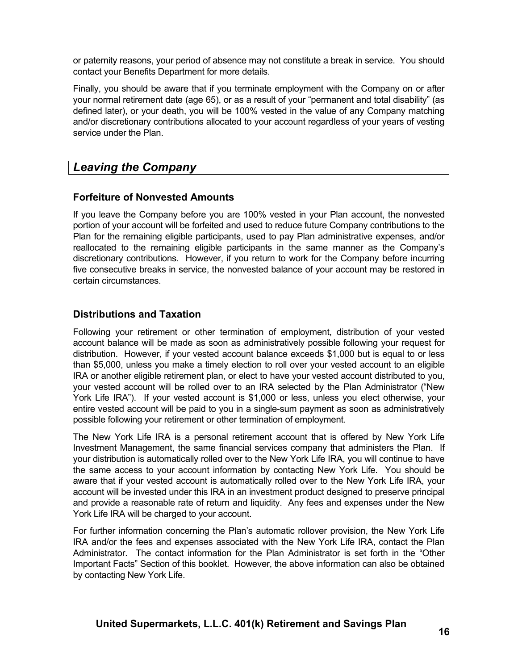or paternity reasons, your period of absence may not constitute a break in service. You should contact your Benefits Department for more details.

Finally, you should be aware that if you terminate employment with the Company on or after your normal retirement date (age 65), or as a result of your "permanent and total disability" (as defined later), or your death, you will be 100% vested in the value of any Company matching and/or discretionary contributions allocated to your account regardless of your years of vesting service under the Plan.

## *Leaving the Company*

#### **Forfeiture of Nonvested Amounts**

If you leave the Company before you are 100% vested in your Plan account, the nonvested portion of your account will be forfeited and used to reduce future Company contributions to the Plan for the remaining eligible participants, used to pay Plan administrative expenses, and/or reallocated to the remaining eligible participants in the same manner as the Company's discretionary contributions. However, if you return to work for the Company before incurring five consecutive breaks in service, the nonvested balance of your account may be restored in certain circumstances.

### **Distributions and Taxation**

Following your retirement or other termination of employment, distribution of your vested account balance will be made as soon as administratively possible following your request for distribution. However, if your vested account balance exceeds \$1,000 but is equal to or less than \$5,000, unless you make a timely election to roll over your vested account to an eligible IRA or another eligible retirement plan, or elect to have your vested account distributed to you, your vested account will be rolled over to an IRA selected by the Plan Administrator ("New York Life IRA"). If your vested account is \$1,000 or less, unless you elect otherwise, your entire vested account will be paid to you in a single-sum payment as soon as administratively possible following your retirement or other termination of employment.

The New York Life IRA is a personal retirement account that is offered by New York Life Investment Management, the same financial services company that administers the Plan. If your distribution is automatically rolled over to the New York Life IRA, you will continue to have the same access to your account information by contacting New York Life. You should be aware that if your vested account is automatically rolled over to the New York Life IRA, your account will be invested under this IRA in an investment product designed to preserve principal and provide a reasonable rate of return and liquidity. Any fees and expenses under the New York Life IRA will be charged to your account.

For further information concerning the Plan's automatic rollover provision, the New York Life IRA and/or the fees and expenses associated with the New York Life IRA, contact the Plan Administrator. The contact information for the Plan Administrator is set forth in the "Other Important Facts" Section of this booklet. However, the above information can also be obtained by contacting New York Life.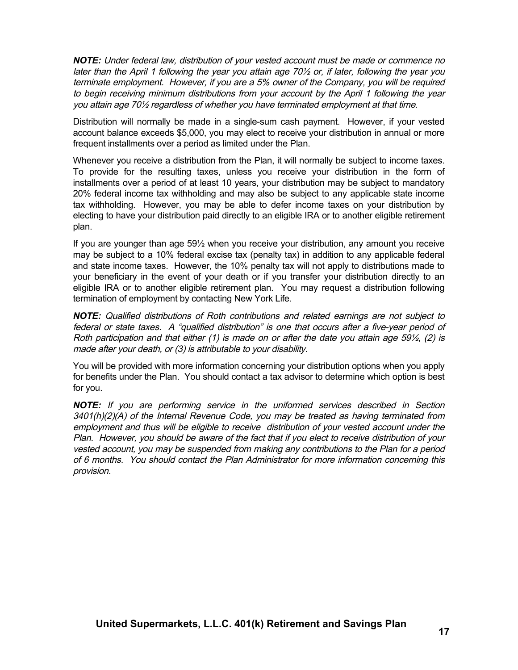*NOTE:* Under federal law, distribution of your vested account must be made or commence no later than the April 1 following the year you attain age  $70\frac{1}{2}$  or, if later, following the year you terminate employment. However, if you are a 5% owner of the Company, you will be required to begin receiving minimum distributions from your account by the April 1 following the year you attain age 70½ regardless of whether you have terminated employment at that time.

Distribution will normally be made in a single-sum cash payment. However, if your vested account balance exceeds \$5,000, you may elect to receive your distribution in annual or more frequent installments over a period as limited under the Plan.

Whenever you receive a distribution from the Plan, it will normally be subject to income taxes. To provide for the resulting taxes, unless you receive your distribution in the form of installments over a period of at least 10 years, your distribution may be subject to mandatory 20% federal income tax withholding and may also be subject to any applicable state income tax withholding. However, you may be able to defer income taxes on your distribution by electing to have your distribution paid directly to an eligible IRA or to another eligible retirement plan.

If you are younger than age 59½ when you receive your distribution, any amount you receive may be subject to a 10% federal excise tax (penalty tax) in addition to any applicable federal and state income taxes. However, the 10% penalty tax will not apply to distributions made to your beneficiary in the event of your death or if you transfer your distribution directly to an eligible IRA or to another eligible retirement plan. You may request a distribution following termination of employment by contacting New York Life.

*NOTE:* Qualified distributions of Roth contributions and related earnings are not subject to federal or state taxes. A "qualified distribution" is one that occurs after a five-year period of Roth participation and that either (1) is made on or after the date you attain age  $59\frac{1}{2}$ , (2) is made after your death, or (3) is attributable to your disability.

You will be provided with more information concerning your distribution options when you apply for benefits under the Plan. You should contact a tax advisor to determine which option is best for you.

*NOTE:* If you are performing service in the uniformed services described in Section  $3401(h)(2)(A)$  of the Internal Revenue Code, you may be treated as having terminated from employment and thus will be eligible to receive distribution of your vested account under the Plan. However, you should be aware of the fact that if you elect to receive distribution of your vested account, you may be suspended from making any contributions to the Plan for a period of 6 months. You should contact the Plan Administrator for more information concerning this provision.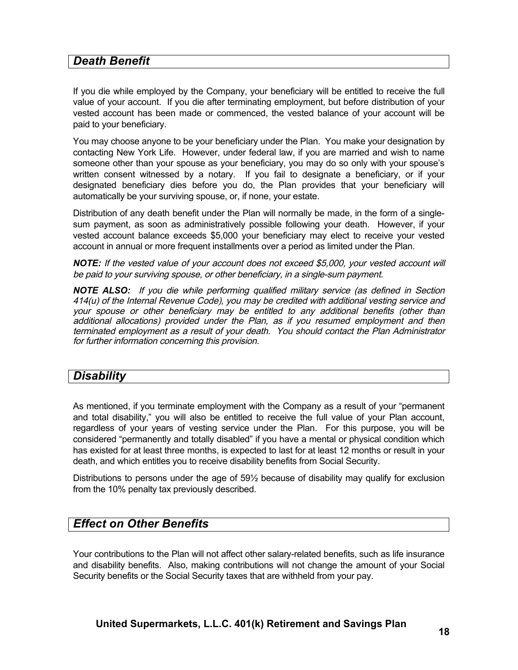## *Death Benefit*

If you die while employed by the Company, your beneficiary will be entitled to receive the full value of your account. If you die after terminating employment, but before distribution of your vested account has been made or commenced, the vested balance of your account will be paid to your beneficiary.

You may choose anyone to be your beneficiary under the Plan. You make your designation by contacting New York Life. However, under federal law, if you are married and wish to name someone other than your spouse as your beneficiary, you may do so only with your spouse's written consent witnessed by a notary. If you fail to designate a beneficiary, or if your designated beneficiary dies before you do, the Plan provides that your beneficiary will automatically be your surviving spouse, or, if none, your estate.

Distribution of any death benefit under the Plan will normally be made, in the form of a singlesum payment, as soon as administratively possible following your death. However, if your vested account balance exceeds \$5,000 your beneficiary may elect to receive your vested account in annual or more frequent installments over a period as limited under the Plan.

*NOTE:* If the vested value of your account does not exceed \$5,000, your vested account will be paid to your surviving spouse, or other beneficiary, in a single-sum payment.

*NOTE ALSO:* If you die while performing qualified military service (as defined in Section 414(u) of the Internal Revenue Code), you may be credited with additional vesting service and your spouse or other beneficiary may be entitled to any additional benefits (other than additional allocations) provided under the Plan, as if you resumed employment and then terminated employment as a result of your death. You should contact the Plan Administrator for further information concerning this provision.

## *Disability*

As mentioned, if you terminate employment with the Company as a result of your "permanent and total disability," you will also be entitled to receive the full value of your Plan account, regardless of your years of vesting service under the Plan. For this purpose, you will be considered "permanently and totally disabled" if you have a mental or physical condition which has existed for at least three months, is expected to last for at least 12 months or result in your death, and which entitles you to receive disability benefits from Social Security.

Distributions to persons under the age of 59½ because of disability may qualify for exclusion from the 10% penalty tax previously described.

## *Effect on Other Benefits*

Your contributions to the Plan will not affect other salary-related benefits, such as life insurance and disability benefits. Also, making contributions will not change the amount of your Social Security benefits or the Social Security taxes that are withheld from your pay.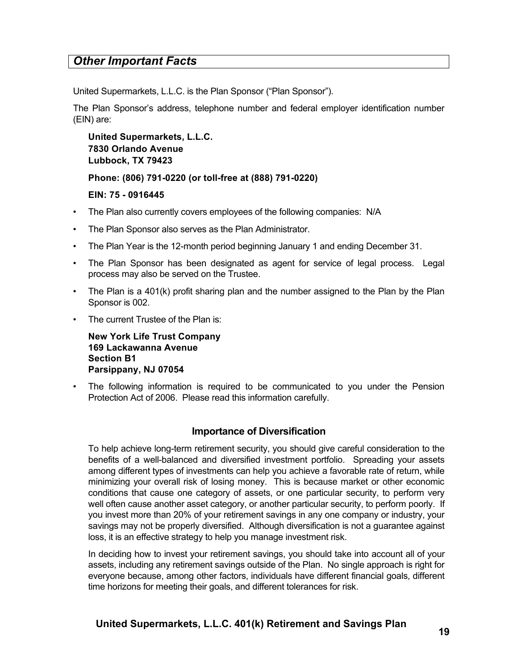## *Other Important Facts*

United Supermarkets, L.L.C. is the Plan Sponsor ("Plan Sponsor").

The Plan Sponsor's address, telephone number and federal employer identification number (EIN) are:

**United Supermarkets, L.L.C. 7830 Orlando Avenue Lubbock, TX 79423**

**Phone: (806) 791-0220 (or toll-free at (888) 791-0220)**

**EIN: 75 - 0916445**

- The Plan also currently covers employees of the following companies: N/A
- The Plan Sponsor also serves as the Plan Administrator.
- The Plan Year is the 12-month period beginning January 1 and ending December 31.
- The Plan Sponsor has been designated as agent for service of legal process. Legal process may also be served on the Trustee.
- The Plan is a 401(k) profit sharing plan and the number assigned to the Plan by the Plan Sponsor is 002.
- The current Trustee of the Plan is:

**New York Life Trust Company 169 Lackawanna Avenue Section B1 Parsippany, NJ 07054**

The following information is required to be communicated to you under the Pension Protection Act of 2006. Please read this information carefully.

#### **Importance of Diversification**

To help achieve long-term retirement security, you should give careful consideration to the benefits of a well-balanced and diversified investment portfolio. Spreading your assets among different types of investments can help you achieve a favorable rate of return, while minimizing your overall risk of losing money. This is because market or other economic conditions that cause one category of assets, or one particular security, to perform very well often cause another asset category, or another particular security, to perform poorly. If you invest more than 20% of your retirement savings in any one company or industry, your savings may not be properly diversified. Although diversification is not a guarantee against loss, it is an effective strategy to help you manage investment risk.

In deciding how to invest your retirement savings, you should take into account all of your assets, including any retirement savings outside of the Plan. No single approach is right for everyone because, among other factors, individuals have different financial goals, different time horizons for meeting their goals, and different tolerances for risk.

## **United Supermarkets, L.L.C. 401(k) Retirement and Savings Plan <sup>19</sup>**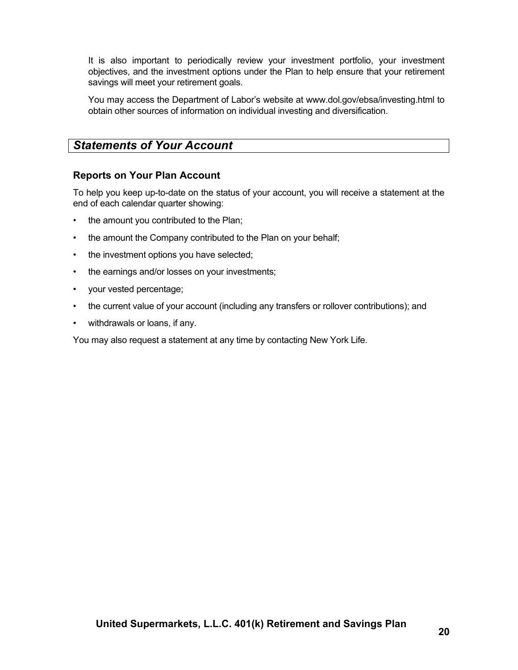It is also important to periodically review your investment portfolio, your investment objectives, and the investment options under the Plan to help ensure that your retirement savings will meet your retirement goals.

You may access the Department of Labor's website at www.dol.gov/ebsa/investing.html to obtain other sources of information on individual investing and diversification.

## *Statements of Your Account*

#### **Reports on Your Plan Account**

To help you keep up-to-date on the status of your account, you will receive a statement at the end of each calendar quarter showing:

- the amount you contributed to the Plan;
- the amount the Company contributed to the Plan on your behalf;
- the investment options you have selected;
- the earnings and/or losses on your investments;
- your vested percentage;
- the current value of your account (including any transfers or rollover contributions); and
- withdrawals or loans, if any.

You may also request a statement at any time by contacting New York Life.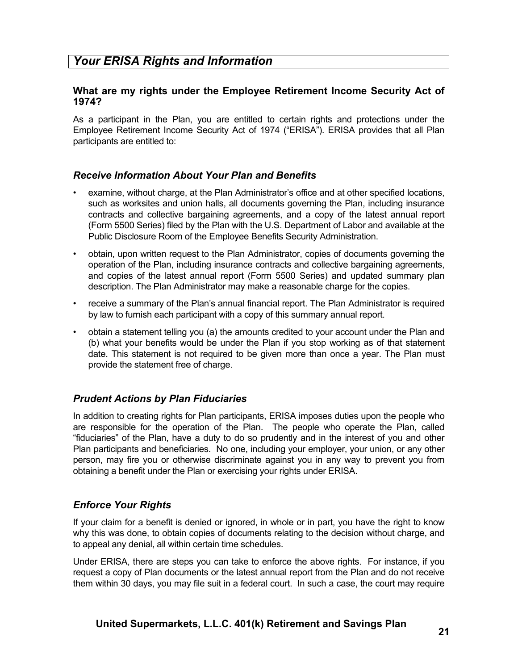#### **What are my rights under the Employee Retirement Income Security Act of 1974?**

As a participant in the Plan, you are entitled to certain rights and protections under the Employee Retirement Income Security Act of 1974 ("ERISA"). ERISA provides that all Plan participants are entitled to:

#### *Receive Information About Your Plan and Benefits*

- examine, without charge, at the Plan Administrator's office and at other specified locations, such as worksites and union halls, all documents governing the Plan, including insurance contracts and collective bargaining agreements, and a copy of the latest annual report (Form 5500 Series) filed by the Plan with the U.S. Department of Labor and available at the Public Disclosure Room of the Employee Benefits Security Administration.
- obtain, upon written request to the Plan Administrator, copies of documents governing the operation of the Plan, including insurance contracts and collective bargaining agreements, and copies of the latest annual report (Form 5500 Series) and updated summary plan description. The Plan Administrator may make a reasonable charge for the copies.
- receive a summary of the Plan's annual financial report. The Plan Administrator is required by law to furnish each participant with a copy of this summary annual report.
- obtain a statement telling you (a) the amounts credited to your account under the Plan and (b) what your benefits would be under the Plan if you stop working as of that statement date. This statement is not required to be given more than once a year. The Plan must provide the statement free of charge.

#### *Prudent Actions by Plan Fiduciaries*

In addition to creating rights for Plan participants, ERISA imposes duties upon the people who are responsible for the operation of the Plan. The people who operate the Plan, called "fiduciaries" of the Plan, have a duty to do so prudently and in the interest of you and other Plan participants and beneficiaries. No one, including your employer, your union, or any other person, may fire you or otherwise discriminate against you in any way to prevent you from obtaining a benefit under the Plan or exercising your rights under ERISA.

#### *Enforce Your Rights*

If your claim for a benefit is denied or ignored, in whole or in part, you have the right to know why this was done, to obtain copies of documents relating to the decision without charge, and to appeal any denial, all within certain time schedules.

Under ERISA, there are steps you can take to enforce the above rights. For instance, if you request a copy of Plan documents or the latest annual report from the Plan and do not receive them within 30 days, you may file suit in a federal court. In such a case, the court may require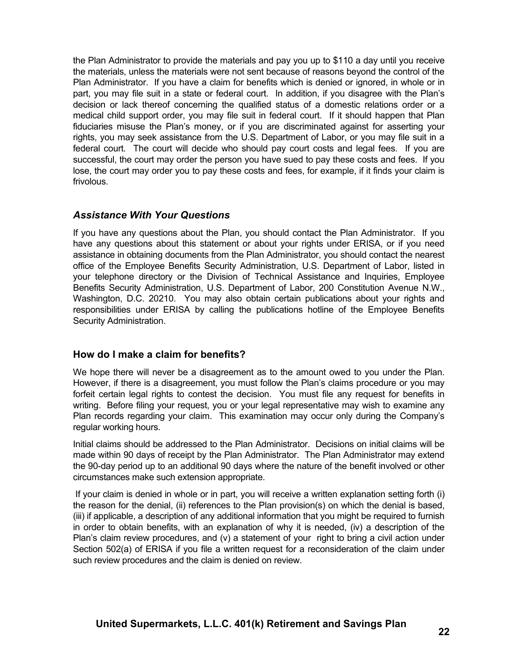the Plan Administrator to provide the materials and pay you up to \$110 a day until you receive the materials, unless the materials were not sent because of reasons beyond the control of the Plan Administrator. If you have a claim for benefits which is denied or ignored, in whole or in part, you may file suit in a state or federal court. In addition, if you disagree with the Plan's decision or lack thereof concerning the qualified status of a domestic relations order or a medical child support order, you may file suit in federal court. If it should happen that Plan fiduciaries misuse the Plan's money, or if you are discriminated against for asserting your rights, you may seek assistance from the U.S. Department of Labor, or you may file suit in a federal court. The court will decide who should pay court costs and legal fees. If you are successful, the court may order the person you have sued to pay these costs and fees. If you lose, the court may order you to pay these costs and fees, for example, if it finds your claim is frivolous.

#### *Assistance With Your Questions*

If you have any questions about the Plan, you should contact the Plan Administrator. If you have any questions about this statement or about your rights under ERISA, or if you need assistance in obtaining documents from the Plan Administrator, you should contact the nearest office of the Employee Benefits Security Administration, U.S. Department of Labor, listed in your telephone directory or the Division of Technical Assistance and Inquiries, Employee Benefits Security Administration, U.S. Department of Labor, 200 Constitution Avenue N.W., Washington, D.C. 20210. You may also obtain certain publications about your rights and responsibilities under ERISA by calling the publications hotline of the Employee Benefits Security Administration.

#### **How do I make a claim for benefits?**

We hope there will never be a disagreement as to the amount owed to you under the Plan. However, if there is a disagreement, you must follow the Plan's claims procedure or you may forfeit certain legal rights to contest the decision. You must file any request for benefits in writing. Before filing your request, you or your legal representative may wish to examine any Plan records regarding your claim. This examination may occur only during the Company's regular working hours.

Initial claims should be addressed to the Plan Administrator. Decisions on initial claims will be made within 90 days of receipt by the Plan Administrator. The Plan Administrator may extend the 90-day period up to an additional 90 days where the nature of the benefit involved or other circumstances make such extension appropriate.

If your claim is denied in whole or in part, you will receive a written explanation setting forth (i) the reason for the denial, (ii) references to the Plan provision(s) on which the denial is based, (iii) if applicable, a description of any additional information that you might be required to furnish in order to obtain benefits, with an explanation of why it is needed, (iv) a description of the Plan's claim review procedures, and (v) a statement of your right to bring a civil action under Section 502(a) of ERISA if you file a written request for a reconsideration of the claim under such review procedures and the claim is denied on review.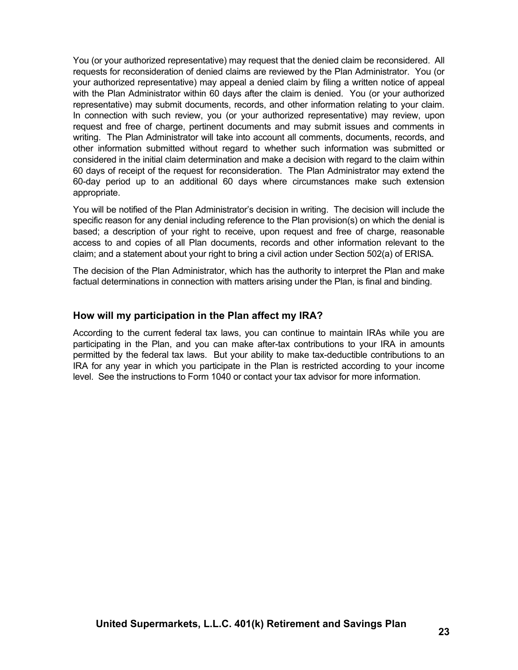You (or your authorized representative) may request that the denied claim be reconsidered. All requests for reconsideration of denied claims are reviewed by the Plan Administrator. You (or your authorized representative) may appeal a denied claim by filing a written notice of appeal with the Plan Administrator within 60 days after the claim is denied. You (or your authorized representative) may submit documents, records, and other information relating to your claim. In connection with such review, you (or your authorized representative) may review, upon request and free of charge, pertinent documents and may submit issues and comments in writing. The Plan Administrator will take into account all comments, documents, records, and other information submitted without regard to whether such information was submitted or considered in the initial claim determination and make a decision with regard to the claim within 60 days of receipt of the request for reconsideration. The Plan Administrator may extend the 60-day period up to an additional 60 days where circumstances make such extension appropriate.

You will be notified of the Plan Administrator's decision in writing. The decision will include the specific reason for any denial including reference to the Plan provision(s) on which the denial is based; a description of your right to receive, upon request and free of charge, reasonable access to and copies of all Plan documents, records and other information relevant to the claim; and a statement about your right to bring a civil action under Section 502(a) of ERISA.

The decision of the Plan Administrator, which has the authority to interpret the Plan and make factual determinations in connection with matters arising under the Plan, is final and binding.

#### **How will my participation in the Plan affect my IRA?**

According to the current federal tax laws, you can continue to maintain IRAs while you are participating in the Plan, and you can make after-tax contributions to your IRA in amounts permitted by the federal tax laws. But your ability to make tax-deductible contributions to an IRA for any year in which you participate in the Plan is restricted according to your income level. See the instructions to Form 1040 or contact your tax advisor for more information.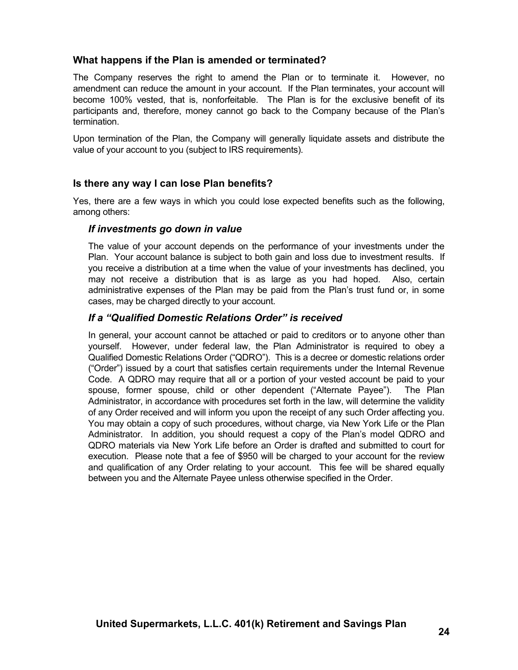#### **What happens if the Plan is amended or terminated?**

The Company reserves the right to amend the Plan or to terminate it. However, no amendment can reduce the amount in your account. If the Plan terminates, your account will become 100% vested, that is, nonforfeitable. The Plan is for the exclusive benefit of its participants and, therefore, money cannot go back to the Company because of the Plan's termination.

Upon termination of the Plan, the Company will generally liquidate assets and distribute the value of your account to you (subject to IRS requirements).

#### **Is there any way I can lose Plan benefits?**

Yes, there are a few ways in which you could lose expected benefits such as the following, among others:

#### *If investments go down in value*

The value of your account depends on the performance of your investments under the Plan. Your account balance is subject to both gain and loss due to investment results. If you receive a distribution at a time when the value of your investments has declined, you may not receive a distribution that is as large as you had hoped. Also, certain administrative expenses of the Plan may be paid from the Plan's trust fund or, in some cases, may be charged directly to your account.

#### *If a "Qualified Domestic Relations Order" is received*

In general, your account cannot be attached or paid to creditors or to anyone other than yourself. However, under federal law, the Plan Administrator is required to obey a Qualified Domestic Relations Order ("QDRO"). This is a decree or domestic relations order ("Order") issued by a court that satisfies certain requirements under the Internal Revenue Code. A QDRO may require that all or a portion of your vested account be paid to your spouse, former spouse, child or other dependent ("Alternate Payee"). The Plan Administrator, in accordance with procedures set forth in the law, will determine the validity of any Order received and will inform you upon the receipt of any such Order affecting you. You may obtain a copy of such procedures, without charge, via New York Life or the Plan Administrator. In addition, you should request a copy of the Plan's model QDRO and QDRO materials via New York Life before an Order is drafted and submitted to court for execution. Please note that a fee of \$950 will be charged to your account for the review and qualification of any Order relating to your account. This fee will be shared equally between you and the Alternate Payee unless otherwise specified in the Order.